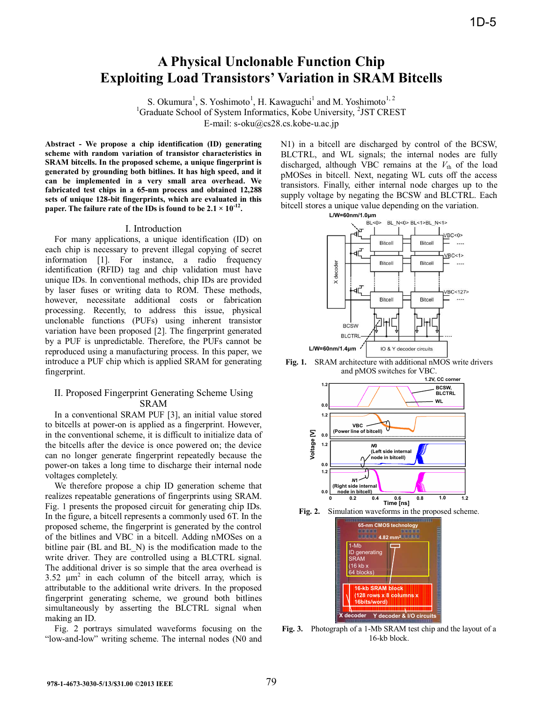# **A Physical Unclonable Function Chip Exploiting Load Transistors' Variation in SRAM Bitcells**

S. Okumura<sup>1</sup>, S. Yoshimoto<sup>1</sup>, H. Kawaguchi<sup>1</sup> and M. Yoshimoto<sup>1, 2</sup> <sup>1</sup>Graduate School of System Informatics, Kobe University, <sup>2</sup>JST CREST

E-mail: s-oku@cs28.cs.kobe-u.ac.jp

**Abstract - We propose a chip identification (ID) generating scheme with random variation of transistor characteristics in SRAM bitcells. In the proposed scheme, a unique fingerprint is generated by grounding both bitlines. It has high speed, and it can be implemented in a very small area overhead. We fabricated test chips in a 65-nm process and obtained 12,288 sets of unique 128-bit fingerprints, which are evaluated in this paper. The failure rate of the IDs is found to be 2.1 × 10-12.** 

## I. Introduction

For many applications, a unique identification (ID) on each chip is necessary to prevent illegal copying of secret information [1]. For instance, a radio frequency identification (RFID) tag and chip validation must have unique IDs. In conventional methods, chip IDs are provided by laser fuses or writing data to ROM. These methods, however, necessitate additional costs or fabrication processing. Recently, to address this issue, physical unclonable functions (PUFs) using inherent transistor variation have been proposed [2]. The fingerprint generated by a PUF is unpredictable. Therefore, the PUFs cannot be reproduced using a manufacturing process. In this paper, we introduce a PUF chip which is applied SRAM for generating fingerprint.

## II. Proposed Fingerprint Generating Scheme Using SRAM

In a conventional SRAM PUF [3], an initial value stored to bitcells at power-on is applied as a fingerprint. However, in the conventional scheme, it is difficult to initialize data of the bitcells after the device is once powered on; the device can no longer generate fingerprint repeatedly because the power-on takes a long time to discharge their internal node voltages completely.

We therefore propose a chip ID generation scheme that realizes repeatable generations of fingerprints using SRAM. Fig. 1 presents the proposed circuit for generating chip IDs. In the figure, a bitcell represents a commonly used 6T. In the proposed scheme, the fingerprint is generated by the control of the bitlines and VBC in a bitcell. Adding nMOSes on a bitline pair (BL and BL\_N) is the modification made to the write driver. They are controlled using a BLCTRL signal. The additional driver is so simple that the area overhead is 3.52  $\mu$ m<sup>2</sup> in each column of the bitcell array, which is attributable to the additional write drivers. In the proposed fingerprint generating scheme, we ground both bitlines simultaneously by asserting the BLCTRL signal when making an ID.

Fig. 2 portrays simulated waveforms focusing on the "low-and-low" writing scheme. The internal nodes (N0 and

N1) in a bitcell are discharged by control of the BCSW, BLCTRL, and WL signals; the internal nodes are fully discharged, although VBC remains at the  $V_{th}$  of the load pMOSes in bitcell. Next, negating WL cuts off the access transistors. Finally, either internal node charges up to the supply voltage by negating the BCSW and BLCTRL. Each bitcell stores a unique value depending on the variation.











**Fig. 3.** Photograph of a 1-Mb SRAM test chip and the layout of a 16-kb block.